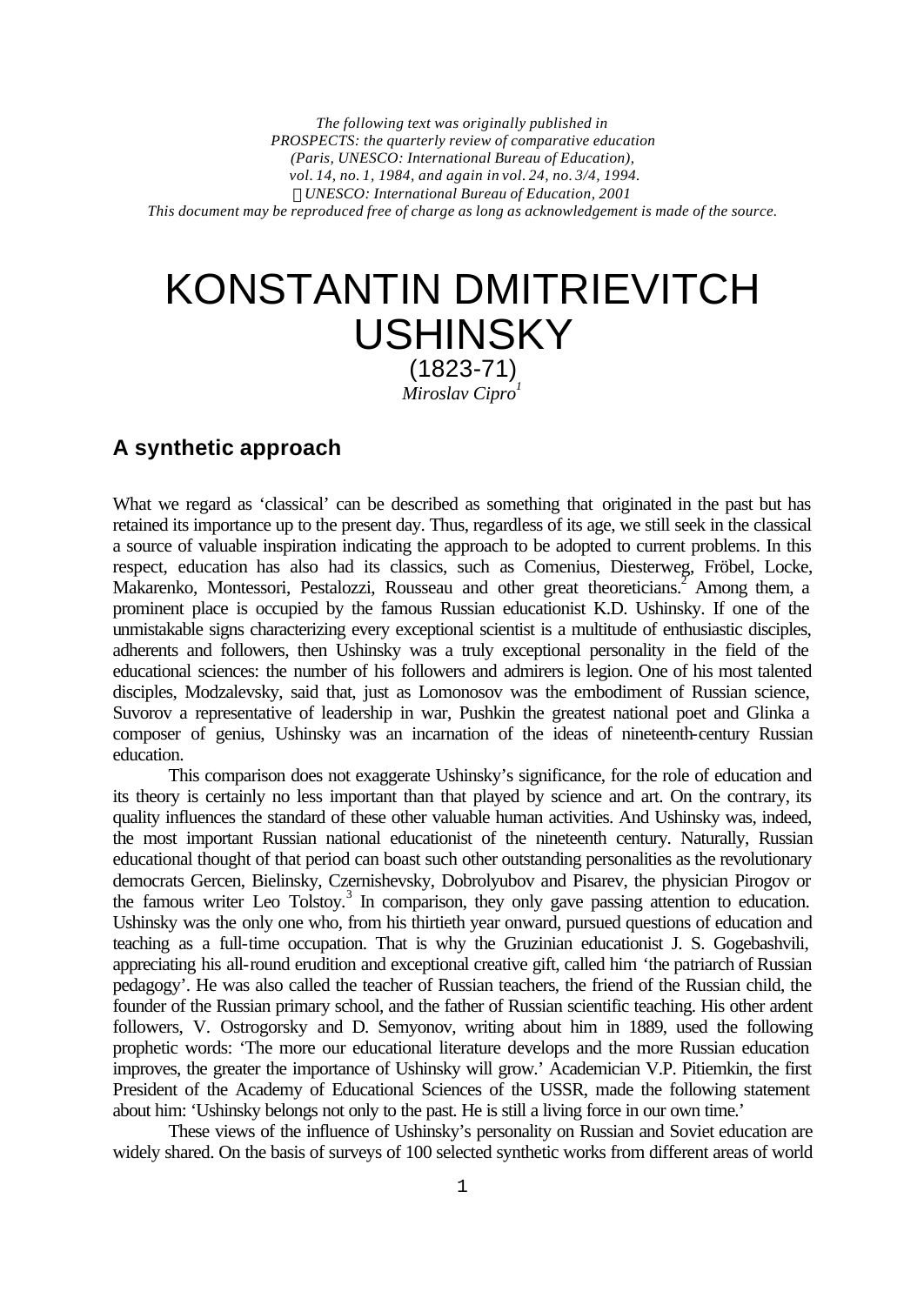*The following text was originally published in PROSPECTS: the quarterly review of comparative education (Paris, UNESCO: International Bureau of Education), vol. 14, no. 1, 1984, and again in vol. 24, no. 3/4, 1994. ãUNESCO: International Bureau of Education, 2001 This document may be reproduced free of charge as long as acknowledgement is made of the source.*

# KONSTANTIN DMITRIEVITCH USHINSKY (1823-71) *Miroslav Cipro<sup>1</sup>*

# **A synthetic approach**

What we regard as 'classical' can be described as something that originated in the past but has retained its importance up to the present day. Thus, regardless of its age, we still seek in the classical a source of valuable inspiration indicating the approach to be adopted to current problems. In this respect, education has also had its classics, such as Comenius, Diesterweg, Fröbel, Locke, Makarenko, Montessori, Pestalozzi, Rousseau and other great theoreticians.<sup>2</sup> Among them, a prominent place is occupied by the famous Russian educationist K.D. Ushinsky. If one of the unmistakable signs characterizing every exceptional scientist is a multitude of enthusiastic disciples, adherents and followers, then Ushinsky was a truly exceptional personality in the field of the educational sciences: the number of his followers and admirers is legion. One of his most talented disciples, Modzalevsky, said that, just as Lomonosov was the embodiment of Russian science, Suvorov a representative of leadership in war, Pushkin the greatest national poet and Glinka a composer of genius, Ushinsky was an incarnation of the ideas of nineteenth-century Russian education.

This comparison does not exaggerate Ushinsky's significance, for the role of education and its theory is certainly no less important than that played by science and art. On the contrary, its quality influences the standard of these other valuable human activities. And Ushinsky was, indeed, the most important Russian national educationist of the nineteenth century. Naturally, Russian educational thought of that period can boast such other outstanding personalities as the revolutionary democrats Gercen, Bielinsky, Czernishevsky, Dobrolyubov and Pisarev, the physician Pirogov or the famous writer Leo Tolstoy.<sup>3</sup> In comparison, they only gave passing attention to education. Ushinsky was the only one who, from his thirtieth year onward, pursued questions of education and teaching as a full-time occupation. That is why the Gruzinian educationist J. S. Gogebashvili, appreciating his all-round erudition and exceptional creative gift, called him 'the patriarch of Russian pedagogy'. He was also called the teacher of Russian teachers, the friend of the Russian child, the founder of the Russian primary school, and the father of Russian scientific teaching. His other ardent followers, V. Ostrogorsky and D. Semyonov, writing about him in 1889, used the following prophetic words: 'The more our educational literature develops and the more Russian education improves, the greater the importance of Ushinsky will grow.' Academician V.P. Pitiemkin, the first President of the Academy of Educational Sciences of the USSR, made the following statement about him: 'Ushinsky belongs not only to the past. He is still a living force in our own time.'

These views of the influence of Ushinsky's personality on Russian and Soviet education are widely shared. On the basis of surveys of 100 selected synthetic works from different areas of world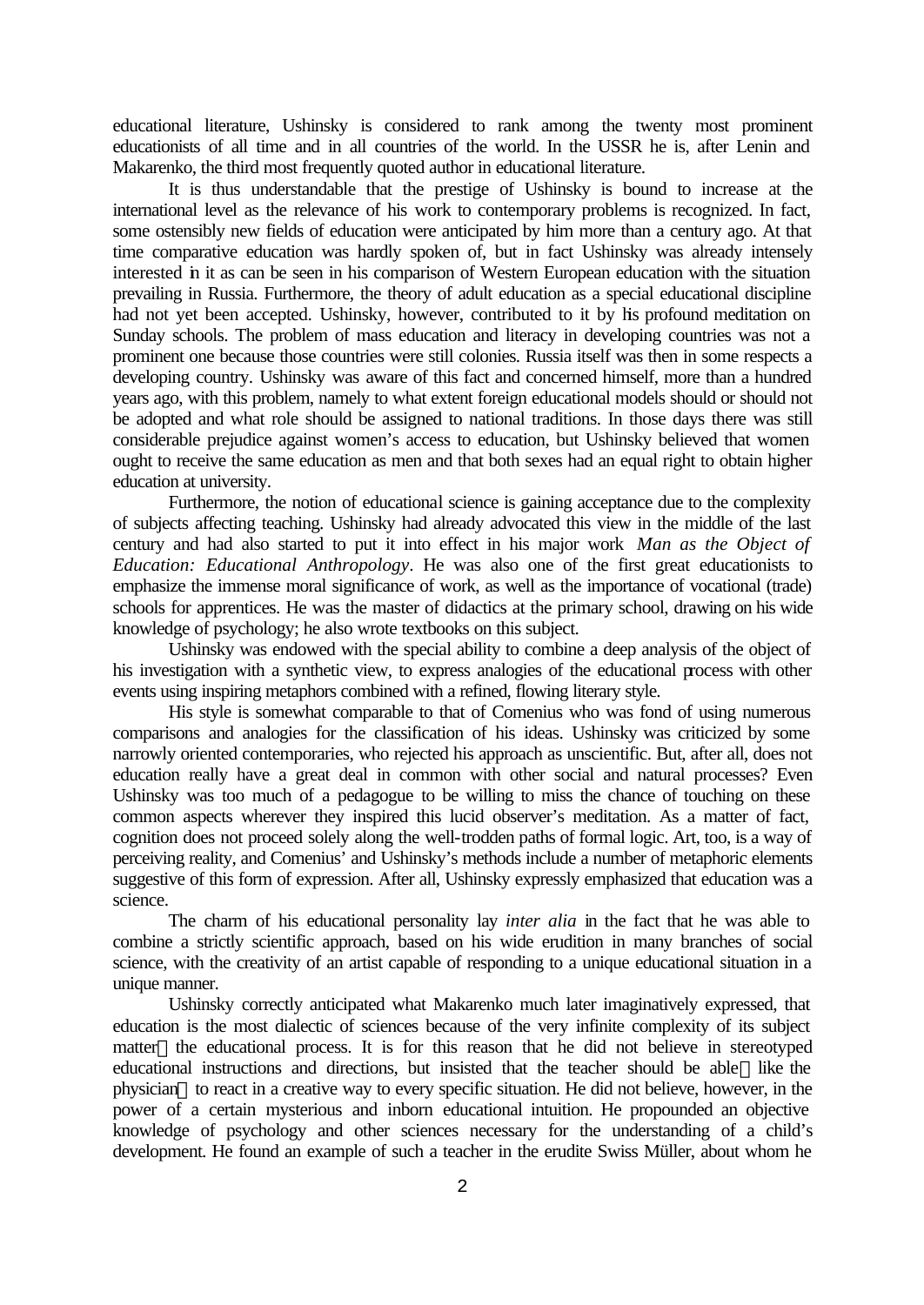educational literature, Ushinsky is considered to rank among the twenty most prominent educationists of all time and in all countries of the world. In the USSR he is, after Lenin and Makarenko, the third most frequently quoted author in educational literature.

It is thus understandable that the prestige of Ushinsky is bound to increase at the international level as the relevance of his work to contemporary problems is recognized. In fact, some ostensibly new fields of education were anticipated by him more than a century ago. At that time comparative education was hardly spoken of, but in fact Ushinsky was already intensely interested in it as can be seen in his comparison of Western European education with the situation prevailing in Russia. Furthermore, the theory of adult education as a special educational discipline had not yet been accepted. Ushinsky, however, contributed to it by his profound meditation on Sunday schools. The problem of mass education and literacy in developing countries was not a prominent one because those countries were still colonies. Russia itself was then in some respects a developing country. Ushinsky was aware of this fact and concerned himself, more than a hundred years ago, with this problem, namely to what extent foreign educational models should or should not be adopted and what role should be assigned to national traditions. In those days there was still considerable prejudice against women's access to education, but Ushinsky believed that women ought to receive the same education as men and that both sexes had an equal right to obtain higher education at university.

Furthermore, the notion of educational science is gaining acceptance due to the complexity of subjects affecting teaching. Ushinsky had already advocated this view in the middle of the last century and had also started to put it into effect in his major work *Man as the Object of Education: Educational Anthropology*. He was also one of the first great educationists to emphasize the immense moral significance of work, as well as the importance of vocational (trade) schools for apprentices. He was the master of didactics at the primary school, drawing on his wide knowledge of psychology; he also wrote textbooks on this subject.

Ushinsky was endowed with the special ability to combine a deep analysis of the object of his investigation with a synthetic view, to express analogies of the educational process with other events using inspiring metaphors combined with a refined, flowing literary style.

His style is somewhat comparable to that of Comenius who was fond of using numerous comparisons and analogies for the classification of his ideas. Ushinsky was criticized by some narrowly oriented contemporaries, who rejected his approach as unscientific. But, after all, does not education really have a great deal in common with other social and natural processes? Even Ushinsky was too much of a pedagogue to be willing to miss the chance of touching on these common aspects wherever they inspired this lucid observer's meditation. As a matter of fact, cognition does not proceed solely along the well-trodden paths of formal logic. Art, too, is a way of perceiving reality, and Comenius' and Ushinsky's methods include a number of metaphoric elements suggestive of this form of expression. After all, Ushinsky expressly emphasized that education was a science.

The charm of his educational personality lay *inter alia* in the fact that he was able to combine a strictly scientific approach, based on his wide erudition in many branches of social science, with the creativity of an artist capable of responding to a unique educational situation in a unique manner.

Ushinsky correctly anticipated what Makarenko much later imaginatively expressed, that education is the most dialectic of sciences because of the very infinite complexity of its subject matter—the educational process. It is for this reason that he did not believe in stereotyped educational instructions and directions, but insisted that the teacher should be able—like the physician—to react in a creative way to every specific situation. He did not believe, however, in the power of a certain mysterious and inborn educational intuition. He propounded an objective knowledge of psychology and other sciences necessary for the understanding of a child's development. He found an example of such a teacher in the erudite Swiss Müller, about whom he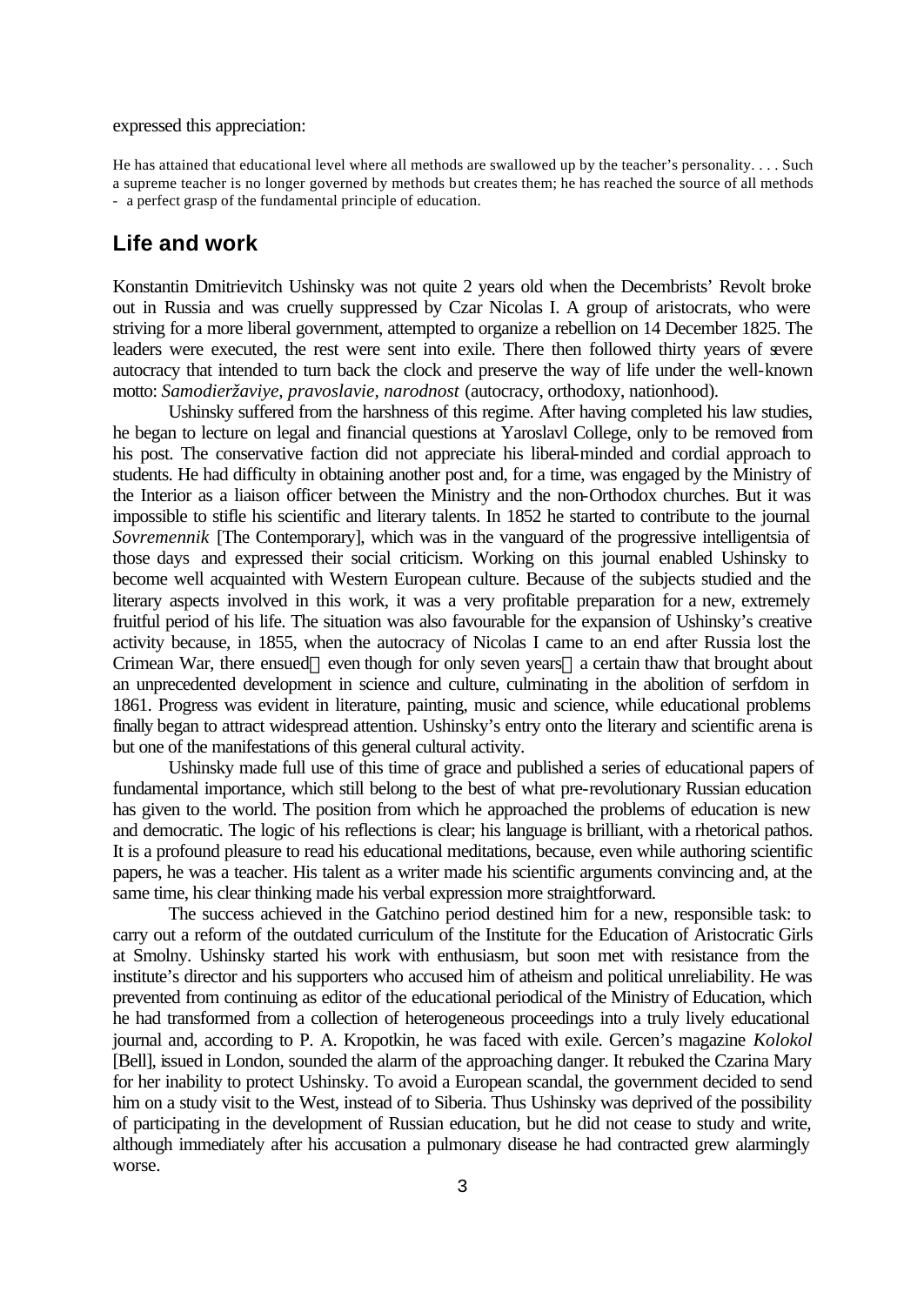#### expressed this appreciation:

He has attained that educational level where all methods are swallowed up by the teacher's personality. . . . Such a supreme teacher is no longer governed by methods but creates them; he has reached the source of all methods - a perfect grasp of the fundamental principle of education.

### **Life and work**

Konstantin Dmitrievitch Ushinsky was not quite 2 years old when the Decembrists' Revolt broke out in Russia and was cruelly suppressed by Czar Nicolas I. A group of aristocrats, who were striving for a more liberal government, attempted to organize a rebellion on 14 December 1825. The leaders were executed, the rest were sent into exile. There then followed thirty years of severe autocracy that intended to turn back the clock and preserve the way of life under the well-known motto: *Samodieržaviye, pravoslavie, narodnost* (autocracy, orthodoxy, nationhood).

Ushinsky suffered from the harshness of this regime. After having completed his law studies, he began to lecture on legal and financial questions at Yaroslavl College, only to be removed from his post. The conservative faction did not appreciate his liberal-minded and cordial approach to students. He had difficulty in obtaining another post and, for a time, was engaged by the Ministry of the Interior as a liaison officer between the Ministry and the non-Orthodox churches. But it was impossible to stifle his scientific and literary talents. In 1852 he started to contribute to the journal *Sovremennik* [The Contemporary], which was in the vanguard of the progressive intelligentsia of those days and expressed their social criticism. Working on this journal enabled Ushinsky to become well acquainted with Western European culture. Because of the subjects studied and the literary aspects involved in this work, it was a very profitable preparation for a new, extremely fruitful period of his life. The situation was also favourable for the expansion of Ushinsky's creative activity because, in 1855, when the autocracy of Nicolas I came to an end after Russia lost the Crimean War, there ensued—even though for only seven years—a certain thaw that brought about an unprecedented development in science and culture, culminating in the abolition of serfdom in 1861. Progress was evident in literature, painting, music and science, while educational problems finally began to attract widespread attention. Ushinsky's entry onto the literary and scientific arena is but one of the manifestations of this general cultural activity.

Ushinsky made full use of this time of grace and published a series of educational papers of fundamental importance, which still belong to the best of what pre-revolutionary Russian education has given to the world. The position from which he approached the problems of education is new and democratic. The logic of his reflections is clear; his language is brilliant, with a rhetorical pathos. It is a profound pleasure to read his educational meditations, because, even while authoring scientific papers, he was a teacher. His talent as a writer made his scientific arguments convincing and, at the same time, his clear thinking made his verbal expression more straightforward.

The success achieved in the Gatchino period destined him for a new, responsible task: to carry out a reform of the outdated curriculum of the Institute for the Education of Aristocratic Girls at Smolny. Ushinsky started his work with enthusiasm, but soon met with resistance from the institute's director and his supporters who accused him of atheism and political unreliability. He was prevented from continuing as editor of the educational periodical of the Ministry of Education, which he had transformed from a collection of heterogeneous proceedings into a truly lively educational journal and, according to P. A. Kropotkin, he was faced with exile. Gercen's magazine *Kolokol* [Bell], issued in London, sounded the alarm of the approaching danger. It rebuked the Czarina Mary for her inability to protect Ushinsky. To avoid a European scandal, the government decided to send him on a study visit to the West, instead of to Siberia. Thus Ushinsky was deprived of the possibility of participating in the development of Russian education, but he did not cease to study and write, although immediately after his accusation a pulmonary disease he had contracted grew alarmingly worse.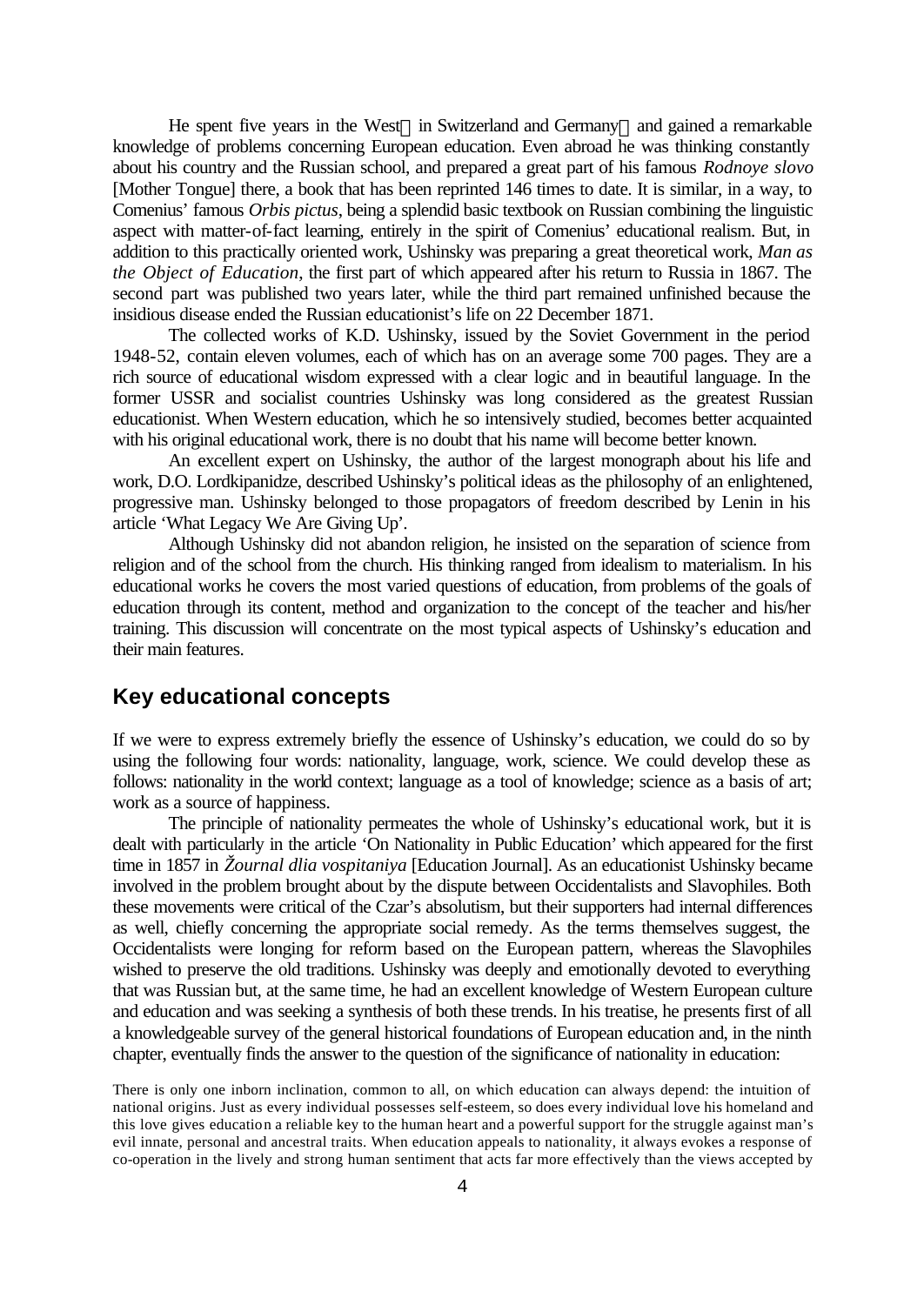He spent five years in the West—in Switzerland and Germany—and gained a remarkable knowledge of problems concerning European education. Even abroad he was thinking constantly about his country and the Russian school, and prepared a great part of his famous *Rodnoye slovo* [Mother Tongue] there, a book that has been reprinted 146 times to date. It is similar, in a way, to Comenius' famous *Orbis pictus*, being a splendid basic textbook on Russian combining the linguistic aspect with matter-of-fact learning, entirely in the spirit of Comenius' educational realism. But, in addition to this practically oriented work, Ushinsky was preparing a great theoretical work, *Man as the Object of Education*, the first part of which appeared after his return to Russia in 1867. The second part was published two years later, while the third part remained unfinished because the insidious disease ended the Russian educationist's life on 22 December 1871.

The collected works of K.D. Ushinsky, issued by the Soviet Government in the period 1948-52, contain eleven volumes, each of which has on an average some 700 pages. They are a rich source of educational wisdom expressed with a clear logic and in beautiful language. In the former USSR and socialist countries Ushinsky was long considered as the greatest Russian educationist. When Western education, which he so intensively studied, becomes better acquainted with his original educational work, there is no doubt that his name will become better known.

An excellent expert on Ushinsky, the author of the largest monograph about his life and work, D.O. Lordkipanidze, described Ushinsky's political ideas as the philosophy of an enlightened, progressive man. Ushinsky belonged to those propagators of freedom described by Lenin in his article 'What Legacy We Are Giving Up'.

Although Ushinsky did not abandon religion, he insisted on the separation of science from religion and of the school from the church. His thinking ranged from idealism to materialism. In his educational works he covers the most varied questions of education, from problems of the goals of education through its content, method and organization to the concept of the teacher and his/her training. This discussion will concentrate on the most typical aspects of Ushinsky's education and their main features.

## **Key educational concepts**

If we were to express extremely briefly the essence of Ushinsky's education, we could do so by using the following four words: nationality, language, work, science. We could develop these as follows: nationality in the world context; language as a tool of knowledge; science as a basis of art; work as a source of happiness.

The principle of nationality permeates the whole of Ushinsky's educational work, but it is dealt with particularly in the article 'On Nationality in Public Education' which appeared for the first time in 1857 in *Žournal dlia vospitaniya* [Education Journal]. As an educationist Ushinsky became involved in the problem brought about by the dispute between Occidentalists and Slavophiles. Both these movements were critical of the Czar's absolutism, but their supporters had internal differences as well, chiefly concerning the appropriate social remedy. As the terms themselves suggest, the Occidentalists were longing for reform based on the European pattern, whereas the Slavophiles wished to preserve the old traditions. Ushinsky was deeply and emotionally devoted to everything that was Russian but, at the same time, he had an excellent knowledge of Western European culture and education and was seeking a synthesis of both these trends. In his treatise, he presents first of all a knowledgeable survey of the general historical foundations of European education and, in the ninth chapter, eventually finds the answer to the question of the significance of nationality in education:

There is only one inborn inclination, common to all, on which education can always depend: the intuition of national origins. Just as every individual possesses self-esteem, so does every individual love his homeland and this love gives education a reliable key to the human heart and a powerful support for the struggle against man's evil innate, personal and ancestral traits. When education appeals to nationality, it always evokes a response of co-operation in the lively and strong human sentiment that acts far more effectively than the views accepted by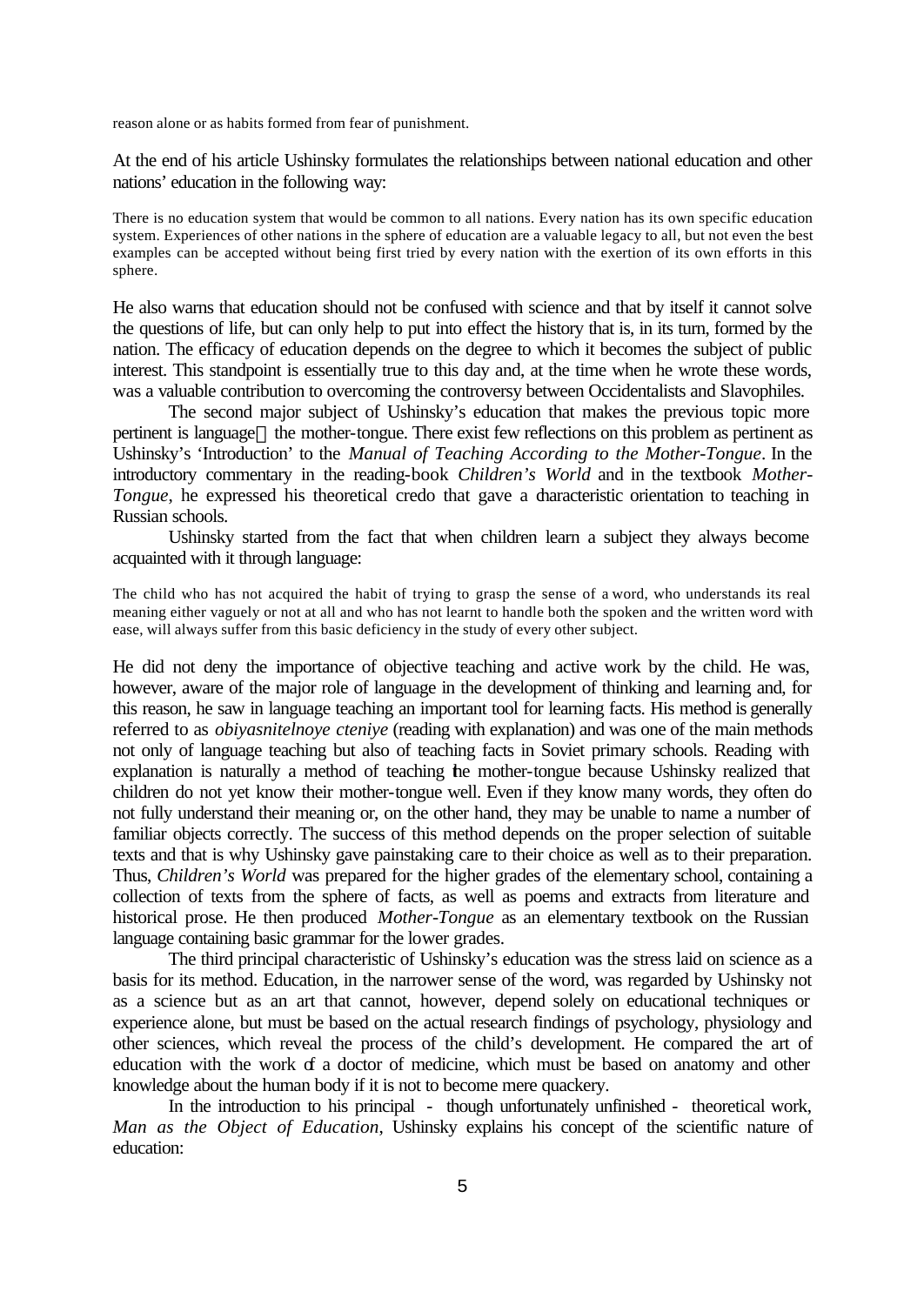reason alone or as habits formed from fear of punishment.

At the end of his article Ushinsky formulates the relationships between national education and other nations' education in the following way:

There is no education system that would be common to all nations. Every nation has its own specific education system. Experiences of other nations in the sphere of education are a valuable legacy to all, but not even the best examples can be accepted without being first tried by every nation with the exertion of its own efforts in this sphere.

He also warns that education should not be confused with science and that by itself it cannot solve the questions of life, but can only help to put into effect the history that is, in its turn, formed by the nation. The efficacy of education depends on the degree to which it becomes the subject of public interest. This standpoint is essentially true to this day and, at the time when he wrote these words, was a valuable contribution to overcoming the controversy between Occidentalists and Slavophiles.

The second major subject of Ushinsky's education that makes the previous topic more pertinent is language—the mother-tongue. There exist few reflections on this problem as pertinent as Ushinsky's 'Introduction' to the *Manual of Teaching According to the Mother-Tongue*. In the introductory commentary in the reading-book *Children's World* and in the textbook *Mother-Tongue*, he expressed his theoretical credo that gave a daracteristic orientation to teaching in Russian schools.

Ushinsky started from the fact that when children learn a subject they always become acquainted with it through language:

The child who has not acquired the habit of trying to grasp the sense of a word, who understands its real meaning either vaguely or not at all and who has not learnt to handle both the spoken and the written word with ease, will always suffer from this basic deficiency in the study of every other subject.

He did not deny the importance of objective teaching and active work by the child. He was, however, aware of the major role of language in the development of thinking and learning and, for this reason, he saw in language teaching an important tool for learning facts. His method is generally referred to as *obiyasnitelnoye cteniye* (reading with explanation) and was one of the main methods not only of language teaching but also of teaching facts in Soviet primary schools. Reading with explanation is naturally a method of teaching the mother-tongue because Ushinsky realized that children do not yet know their mother-tongue well. Even if they know many words, they often do not fully understand their meaning or, on the other hand, they may be unable to name a number of familiar objects correctly. The success of this method depends on the proper selection of suitable texts and that is why Ushinsky gave painstaking care to their choice as well as to their preparation. Thus, *Children's World* was prepared for the higher grades of the elementary school, containing a collection of texts from the sphere of facts, as well as poems and extracts from literature and historical prose. He then produced *Mother-Tongue* as an elementary textbook on the Russian language containing basic grammar for the lower grades.

The third principal characteristic of Ushinsky's education was the stress laid on science as a basis for its method. Education, in the narrower sense of the word, was regarded by Ushinsky not as a science but as an art that cannot, however, depend solely on educational techniques or experience alone, but must be based on the actual research findings of psychology, physiology and other sciences, which reveal the process of the child's development. He compared the art of education with the work of a doctor of medicine, which must be based on anatomy and other knowledge about the human body if it is not to become mere quackery.

In the introduction to his principal - though unfortunately unfinished - theoretical work, *Man as the Object of Education*, Ushinsky explains his concept of the scientific nature of education: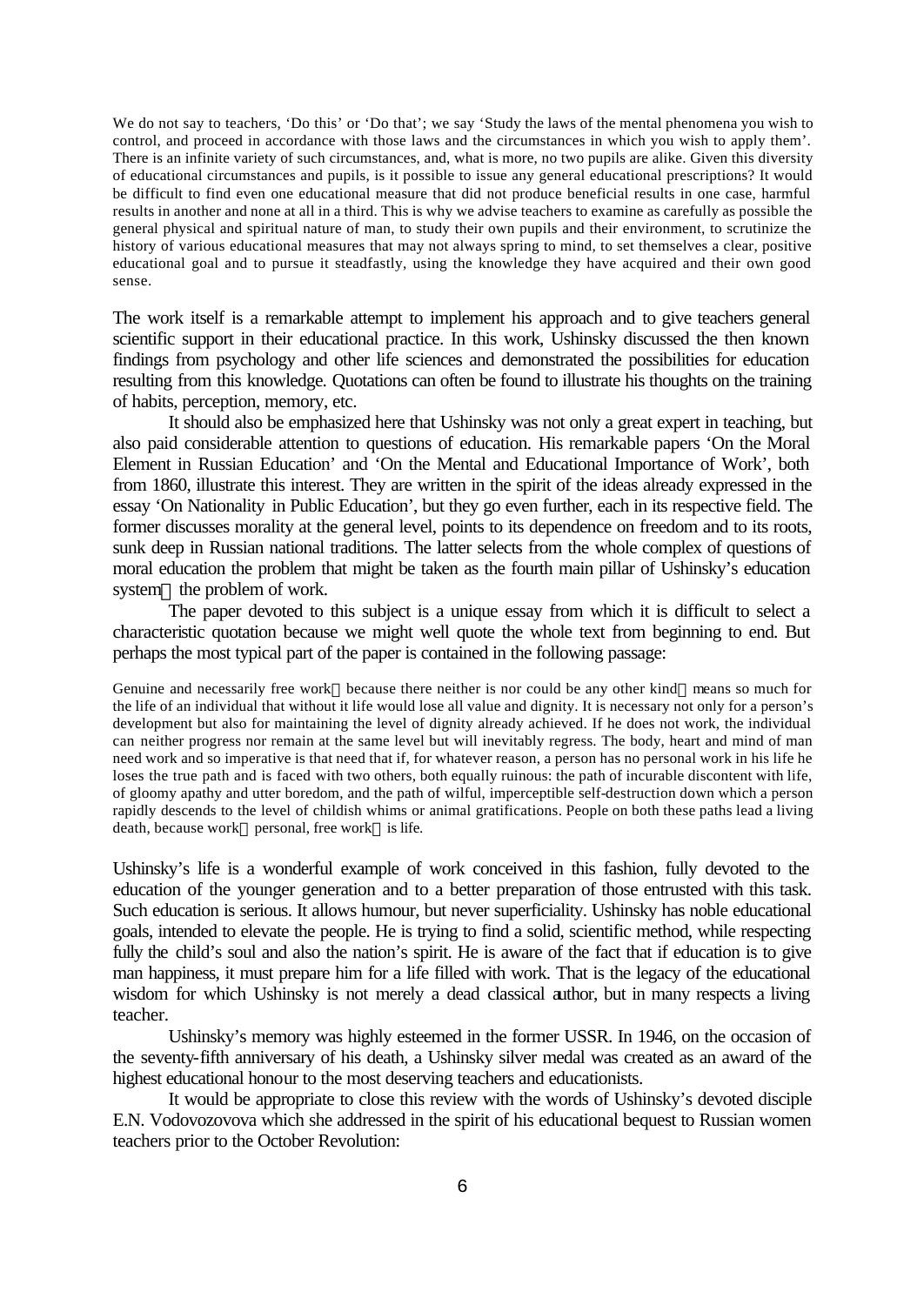We do not say to teachers, 'Do this' or 'Do that'; we say 'Study the laws of the mental phenomena you wish to control, and proceed in accordance with those laws and the circumstances in which you wish to apply them'. There is an infinite variety of such circumstances, and, what is more, no two pupils are alike. Given this diversity of educational circumstances and pupils, is it possible to issue any general educational prescriptions? It would be difficult to find even one educational measure that did not produce beneficial results in one case, harmful results in another and none at all in a third. This is why we advise teachers to examine as carefully as possible the general physical and spiritual nature of man, to study their own pupils and their environment, to scrutinize the history of various educational measures that may not always spring to mind, to set themselves a clear, positive educational goal and to pursue it steadfastly, using the knowledge they have acquired and their own good sense.

The work itself is a remarkable attempt to implement his approach and to give teachers general scientific support in their educational practice. In this work, Ushinsky discussed the then known findings from psychology and other life sciences and demonstrated the possibilities for education resulting from this knowledge. Quotations can often be found to illustrate his thoughts on the training of habits, perception, memory, etc.

It should also be emphasized here that Ushinsky was not only a great expert in teaching, but also paid considerable attention to questions of education. His remarkable papers 'On the Moral Element in Russian Education' and 'On the Mental and Educational Importance of Work', both from 1860, illustrate this interest. They are written in the spirit of the ideas already expressed in the essay 'On Nationality in Public Education', but they go even further, each in its respective field. The former discusses morality at the general level, points to its dependence on freedom and to its roots, sunk deep in Russian national traditions. The latter selects from the whole complex of questions of moral education the problem that might be taken as the fourth main pillar of Ushinsky's education system—the problem of work.

The paper devoted to this subject is a unique essay from which it is difficult to select a characteristic quotation because we might well quote the whole text from beginning to end. But perhaps the most typical part of the paper is contained in the following passage:

Genuine and necessarily free work—because there neither is nor could be any other kind—means so much for the life of an individual that without it life would lose all value and dignity. It is necessary not only for a person's development but also for maintaining the level of dignity already achieved. If he does not work, the individual can neither progress nor remain at the same level but will inevitably regress. The body, heart and mind of man need work and so imperative is that need that if, for whatever reason, a person has no personal work in his life he loses the true path and is faced with two others, both equally ruinous: the path of incurable discontent with life, of gloomy apathy and utter boredom, and the path of wilful, imperceptible self-destruction down which a person rapidly descends to the level of childish whims or animal gratifications. People on both these paths lead a living death, because work—personal, free work—is life.

Ushinsky's life is a wonderful example of work conceived in this fashion, fully devoted to the education of the younger generation and to a better preparation of those entrusted with this task. Such education is serious. It allows humour, but never superficiality. Ushinsky has noble educational goals, intended to elevate the people. He is trying to find a solid, scientific method, while respecting fully the child's soul and also the nation's spirit. He is aware of the fact that if education is to give man happiness, it must prepare him for a life filled with work. That is the legacy of the educational wisdom for which Ushinsky is not merely a dead classical author, but in many respects a living teacher.

Ushinsky's memory was highly esteemed in the former USSR. In 1946, on the occasion of the seventy-fifth anniversary of his death, a Ushinsky silver medal was created as an award of the highest educational honour to the most deserving teachers and educationists.

It would be appropriate to close this review with the words of Ushinsky's devoted disciple E.N. Vodovozovova which she addressed in the spirit of his educational bequest to Russian women teachers prior to the October Revolution: